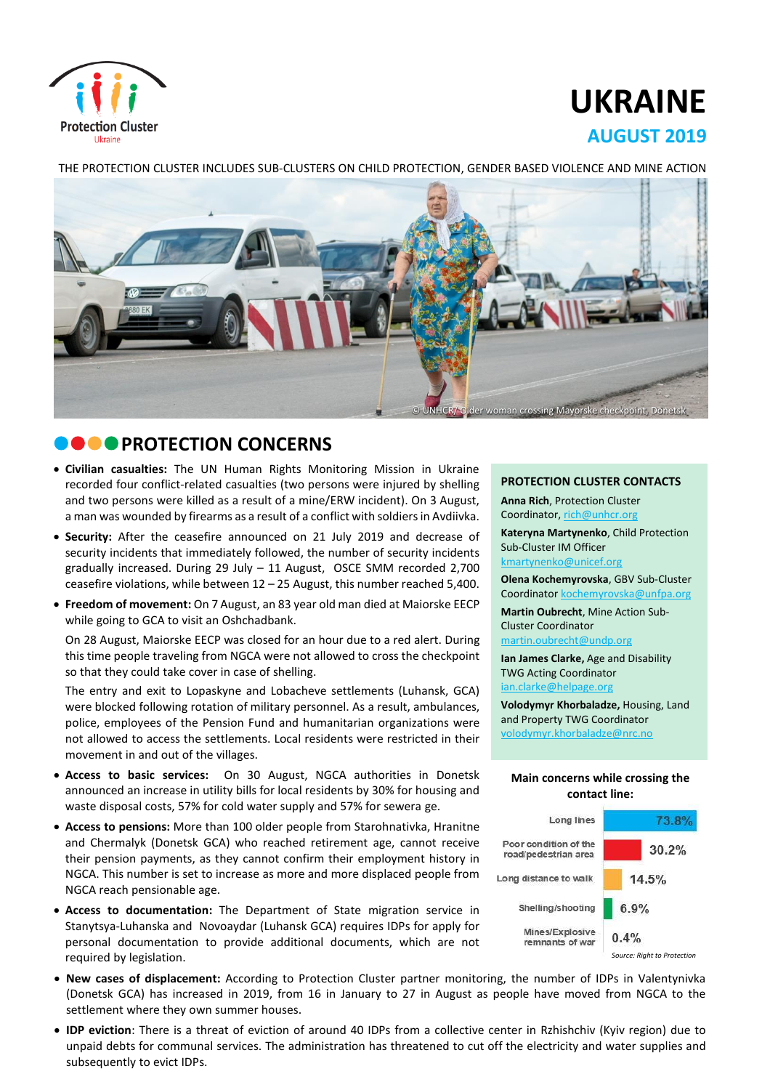

# **UKRAINE AUGUST 2019**

#### THE PROTECTION CLUSTER INCLUDES SUB-CLUSTERS ON CHILD PROTECTION, GENDER BASED VIOLENCE AND MINE ACTION



# **COOPROTECTION CONCERNS**

- **Civilian casualties:** The UN Human Rights Monitoring Mission in Ukraine recorded four conflict-related casualties (two persons were injured by shelling and two persons were killed as a result of a mine/ERW incident). On 3 August, a man was wounded by firearms as a result of a conflict with soldiers in Avdiivka.
- **Security:** After the ceasefire announced on 21 July 2019 and decrease of security incidents that immediately followed, the number of security incidents gradually increased. During 29 July – 11 August, OSCE SMM recorded 2,700 ceasefire violations, while between 12 – 25 August, this number reached 5,400.
- **Freedom of movement:** On 7 August, an 83 year old man died at Maiorske EECP while going to GCA to visit an Oshchadbank.

On 28 August, Maiorske EECP was closed for an hour due to a red alert. During this time people traveling from NGCA were not allowed to cross the checkpoint so that they could take cover in case of shelling.

The entry and exit to Lopaskyne and Lobacheve settlements (Luhansk, GCA) were blocked following rotation of military personnel. As a result, ambulances, police, employees of the Pension Fund and humanitarian organizations were not allowed to access the settlements. Local residents were restricted in their movement in and out of the villages.

- **Access to basic services:** On 30 August, NGCA authorities in Donetsk announced an increase in utility bills for local residents by 30% for housing and waste disposal costs, 57% for cold water supply and 57% for sewera ge.
- **Access to pensions:** More than 100 older people from Starohnativka, Hranitne and Chermalyk (Donetsk GCA) who reached retirement age, cannot receive their pension payments, as they cannot confirm their employment history in NGCA. This number is set to increase as more and more displaced people from NGCA reach pensionable age.
- **Access to documentation:** The Department of State migration service in Stanytsya-Luhanska and Novoaydar (Luhansk GCA) requires IDPs for apply for personal documentation to provide additional documents, which are not required by legislation.

#### **PROTECTION CLUSTER CONTACTS**

**Anna Rich**, Protection Cluster Coordinator, [rich@unhcr.org](mailto:rich@unhcr.org)

**Kateryna Martynenko**, Child Protection Sub-Cluster IM Officer kmartynenko@unicef.org

**Olena Kochemyrovska**, GBV Sub-Cluster Coordinator [kochemyrovska@unfpa.org](mailto:kristesashvili@unfpa.org)

**Martin Oubrecht**, Mine Action Sub-Cluster Coordinator

[martin.oubrecht@undp.org](mailto:martin.oubrecht@undp.org)

**Ian James Clarke,** Age and Disability TWG Acting Coordinator ian.clarke@helpage.org

**Volodymyr Khorbaladze,** Housing, Land and Property TWG Coordinator [volodymyr.khorbaladze@nrc.no](mailto:volodymyr.khorbaladze@nrc.no)

#### **Main concerns while crossing the contact line:**



*Source: Right to Protection*

- **New cases of displacement:** According to Protection Cluster partner monitoring, the number of IDPs in Valentynivka (Donetsk GCA) has increased in 2019, from 16 in January to 27 in August as people have moved from NGCA to the settlement where they own summer houses.
- **IDP eviction**: There is a threat of eviction of around 40 IDPs from a collective center in Rzhishchiv (Kyiv region) due to unpaid debts for communal services. The administration has threatened to cut off the electricity and water supplies and subsequently to evict IDPs.